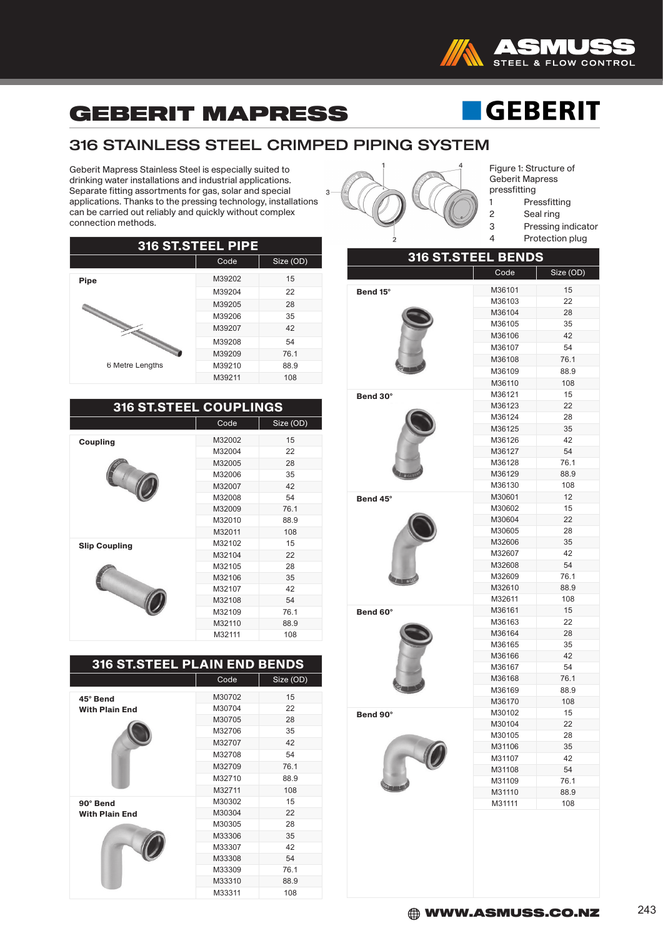

#### 316 STAINLESS STEEL CRIMPED PIPING SYSTEM

Geberit Mapress Stainless Steel is especially suited to drinking water installations and industrial applications. Separate fitting assortments for gas, solar and special applications. Thanks to the pressing technology, installations can be carried out reliably and quickly without complex connection methods.

| 316 ST.STEEL PIPE |        |           |  |
|-------------------|--------|-----------|--|
|                   | Code   | Size (OD) |  |
| <b>Pipe</b>       | M39202 | 15        |  |
|                   | M39204 | 22        |  |
| 6 Metre Lengths   | M39205 | 28        |  |
|                   | M39206 | 35        |  |
|                   | M39207 | 42        |  |
|                   | M39208 | 54        |  |
|                   | M39209 | 76.1      |  |
|                   | M39210 | 88.9      |  |
|                   | M39211 | 108       |  |

| <b>316 ST.STEEL COUPLINGS</b> |        |           |  |
|-------------------------------|--------|-----------|--|
|                               | Code   | Size (OD) |  |
| <b>Coupling</b>               | M32002 | 15        |  |
|                               | M32004 | 22        |  |
|                               | M32005 | 28        |  |
|                               | M32006 | 35        |  |
|                               | M32007 | 42        |  |
|                               | M32008 | 54        |  |
|                               | M32009 | 76.1      |  |
|                               | M32010 | 88.9      |  |
|                               | M32011 | 108       |  |
| <b>Slip Coupling</b>          | M32102 | 15        |  |
|                               | M32104 | 22        |  |
|                               | M32105 | 28        |  |
|                               | M32106 | 35        |  |
|                               | M32107 | 42        |  |
|                               | M32108 | 54        |  |
|                               | M32109 | 76.1      |  |
|                               | M32110 | 88.9      |  |
|                               | M32111 | 108       |  |

| <b>316 ST.STEEL PLAIN END BENDS</b> |        |           |
|-------------------------------------|--------|-----------|
|                                     | Code   | Size (OD) |
| 45° Bend                            | M30702 | 15        |
| <b>With Plain End</b>               | M30704 | 22        |
|                                     | M30705 | 28        |
|                                     | M32706 | 35        |
|                                     | M32707 | 42        |
|                                     | M32708 | 54        |
|                                     | M32709 | 76.1      |
|                                     | M32710 | 88.9      |
|                                     | M32711 | 108       |
| $90^\circ$ Bend                     | M30302 | 15        |
| <b>With Plain End</b>               | M30304 | 22        |
|                                     | M30305 | 28        |
|                                     | M33306 | 35        |
|                                     | M33307 | 42        |
|                                     | M33308 | 54        |
|                                     | M33309 | 76.1      |
|                                     | M33310 | 88.9      |
|                                     | M33311 | 108       |



Figure 1: Structure of Geberit Mapress

**GEBERIT** 

pressfitting

316 ST.STEEL BENDS

- 1 Pressfitting<br>2 Seal ring
- 2 Seal ring<br>3 Pressing
- 3 Pressing indicator<br>4 Protection plug
	- Protection plug

|          | Code             | Size (OD)    |
|----------|------------------|--------------|
| Bend 15° | M36101           | 15           |
|          | M36103           | 22           |
|          | M36104           | 28           |
|          | M36105           | 35           |
|          | M36106           | 42           |
|          | M36107           | 54           |
|          | M36108           | 76.1         |
|          | M36109           | 88.9         |
|          | M36110           | 108          |
| Bend 30° | M36121           | 15           |
|          | M36123           | 22           |
|          | M36124           | 28           |
|          | M36125           | 35           |
|          | M36126           | 42           |
|          | M36127           | 54           |
|          | M36128           | 76.1         |
|          | M36129           | 88.9         |
|          | M36130           | 108          |
| Bend 45° | M30601           | 12           |
|          | M30602           | 15           |
|          | M30604           | 22           |
|          | M30605           | 28           |
|          | M32606           | 35           |
|          | M32607           | 42           |
|          | M32608           | 54           |
|          | M32609<br>M32610 | 76.1<br>88.9 |
|          | M32611           | 108          |
|          | M36161           | 15           |
| Bend 60° | M36163           | 22           |
|          | M36164           | 28           |
|          | M36165           | 35           |
|          | M36166           | 42           |
|          | M36167           | 54           |
|          | M36168           | 76.1         |
|          | M36169           | 88.9         |
|          | M36170           | 108          |
| Bend 90° | M30102           | 15           |
|          | M30104           | 22           |
|          | M30105           | 28           |
|          | M31106           | 35           |
|          | M31107           | 42           |
|          | M31108           | 54           |
|          | M31109           | 76.1         |
|          | M31110           | 88.9         |
|          | M31111           | 108          |
|          |                  |              |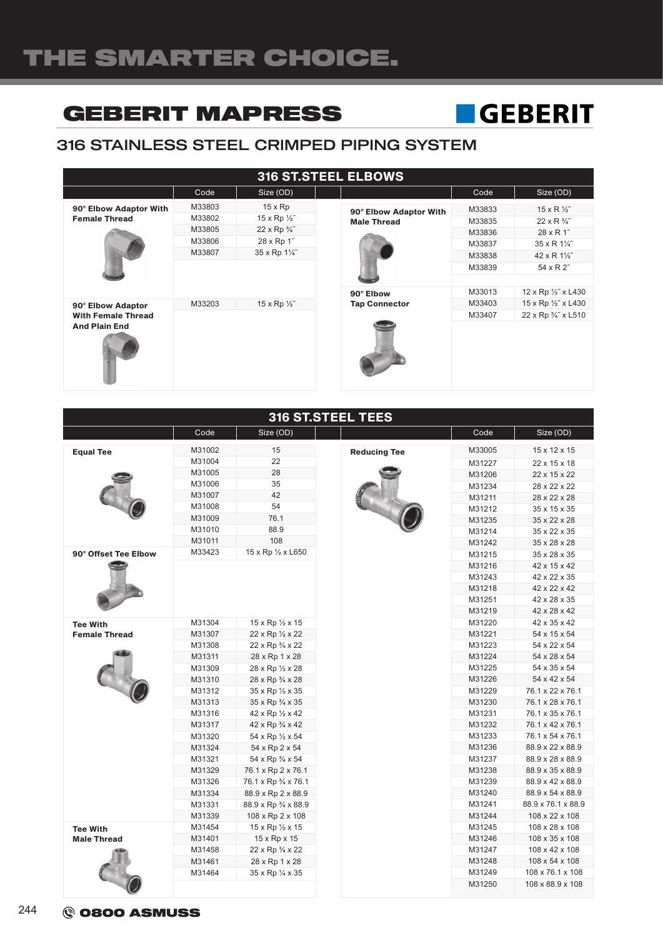# **GEBERIT**

### 316 STAINLESS STEEL CRIMPED PIPING SYSTEM

| <b>316 ST.STEEL ELBOWS</b>                                             |                                                |                                                                               |  |                                              |                                                          |                                                                                                                      |
|------------------------------------------------------------------------|------------------------------------------------|-------------------------------------------------------------------------------|--|----------------------------------------------|----------------------------------------------------------|----------------------------------------------------------------------------------------------------------------------|
|                                                                        | Code                                           | Size (OD)                                                                     |  |                                              | Code                                                     | Size (OD)                                                                                                            |
| 90° Elbow Adaptor With<br><b>Female Thread</b>                         | M33803<br>M33802<br>M33805<br>M33806<br>M33807 | $15 \times$ Rp<br>15 x Rp 1/2"<br>22 x Rp 3/4"<br>28 x Rp 1"<br>35 x Rp 11/4" |  | 90° Elbow Adaptor With<br><b>Male Thread</b> | M33833<br>M33835<br>M33836<br>M33837<br>M33838<br>M33839 | $15 \times R$ $\frac{1}{2}$ "<br>$22 \times R \frac{3}{4}$<br>28 x R 1"<br>35 x R 11/4"<br>42 x R 11/2"<br>54 x R 2" |
| 90° Elbow Adaptor<br><b>With Female Thread</b><br><b>And Plain End</b> | M33203                                         | 15 x Rp $\frac{1}{2}$ "                                                       |  | 90° Elbow<br><b>Tap Connector</b>            | M33013<br>M33403<br>M33407                               | 12 x Rp 1/2" x L430<br>15 x Rp 1/2" x L430<br>22 x Rp 3/4" x L510                                                    |

| 316 ST.STEEL TEES                        |        |                            |                     |        |                    |
|------------------------------------------|--------|----------------------------|---------------------|--------|--------------------|
|                                          | Code   | Size (OD)                  |                     | Code   | Size (OD)          |
| <b>Equal Tee</b>                         | M31002 | 15                         | <b>Reducing Tee</b> | M33005 | 15 x 12 x 15       |
|                                          | M31004 | 22                         |                     | M31227 | 22 x 15 x 18       |
|                                          | M31005 | 28                         |                     | M31206 | 22 x 15 x 22       |
|                                          | M31006 | 35                         |                     | M31234 | 28 x 22 x 22       |
|                                          | M31007 | 42                         |                     | M31211 | 28 x 22 x 28       |
|                                          | M31008 | 54                         |                     | M31212 | 35 x 15 x 35       |
|                                          | M31009 | 76.1                       |                     | M31235 | 35 x 22 x 28       |
|                                          | M31010 | 88.9                       |                     | M31214 | 35 x 22 x 35       |
|                                          | M31011 | 108                        |                     | M31242 | 35 x 28 x 28       |
| 90° Offset Tee Elbow                     | M33423 | 15 x Rp 1/2 x L650         |                     | M31215 | 35 x 28 x 35       |
|                                          |        |                            |                     | M31216 | 42 x 15 x 42       |
|                                          |        |                            |                     | M31243 | 42 x 22 x 35       |
|                                          |        |                            |                     | M31218 | 42 x 22 x 42       |
|                                          |        |                            |                     | M31251 | 42 x 28 x 35       |
|                                          |        |                            |                     | M31219 | 42 x 28 x 42       |
| <b>Tee With</b>                          | M31304 | 15 x Rp 1/2 x 15           |                     | M31220 | 42 x 35 x 42       |
| M31307<br><b>Female Thread</b><br>M31308 |        | 22 x Rp 1/2 x 22           |                     | M31221 | 54 x 15 x 54       |
|                                          |        | 22 x Rp 3/4 x 22           |                     | M31223 | 54 x 22 x 54       |
|                                          | M31311 | 28 x Rp 1 x 28             |                     | M31224 | 54 x 28 x 54       |
|                                          | M31309 | 28 x Rp 1/2 x 28           |                     | M31225 | 54 x 35 x 54       |
|                                          | M31310 | 28 x Rp 3/4 x 28           |                     | M31226 | 54 x 42 x 54       |
|                                          | M31312 | 35 x Rp 1/2 x 35           |                     | M31229 | 76.1 x 22 x 76.1   |
|                                          | M31313 | 35 x Rp 3/4 x 35           |                     | M31230 | 76.1 x 28 x 76.1   |
|                                          | M31316 | 42 x Rp 1/2 x 42           |                     | M31231 | 76.1 x 35 x 76.1   |
|                                          | M31317 | 42 x Rp 3/4 x 42           |                     | M31232 | 76.1 x 42 x 76.1   |
|                                          | M31320 | 54 x Rp 1/2 x 54           |                     | M31233 | 76.1 x 54 x 76.1   |
|                                          | M31324 | 54 x Rp 2 x 54             |                     | M31236 | 88.9 x 22 x 88.9   |
|                                          | M31321 | 54 x Rp 3/4 x 54           |                     | M31237 | 88.9 x 28 x 88.9   |
|                                          | M31329 | 76.1 x Rp 2 x 76.1         |                     | M31238 | 88.9 x 35 x 88.9   |
|                                          | M31326 | 76.1 x Rp 3/4 x 76.1       |                     | M31239 | 88.9 x 42 x 88.9   |
|                                          | M31334 | 88.9 x Rp 2 x 88.9         |                     | M31240 | 88.9 x 54 x 88.9   |
|                                          | M31331 | 88.9 x Rp 3/4 x 88.9       |                     | M31241 | 88.9 x 76.1 x 88.9 |
|                                          | M31339 | 108 x Rp 2 x 108           |                     | M31244 | 108 x 22 x 108     |
| <b>Tee With</b>                          | M31454 | 15 x Rp $\frac{1}{2}$ x 15 |                     | M31245 | 108 x 28 x 108     |
| <b>Male Thread</b>                       | M31401 | 15 x Rp x 15               |                     | M31246 | 108 x 35 x 108     |
|                                          | M31458 | 22 x Rp 3/4 x 22           |                     | M31247 | 108 x 42 x 108     |
|                                          | M31461 | 28 x Rp 1 x 28             |                     | M31248 | 108 x 54 x 108     |
|                                          | M31464 | 35 x Rp 1/4 x 35           |                     | M31249 | 108 x 76.1 x 108   |
|                                          |        |                            |                     | M31250 | 108 x 88.9 x 108   |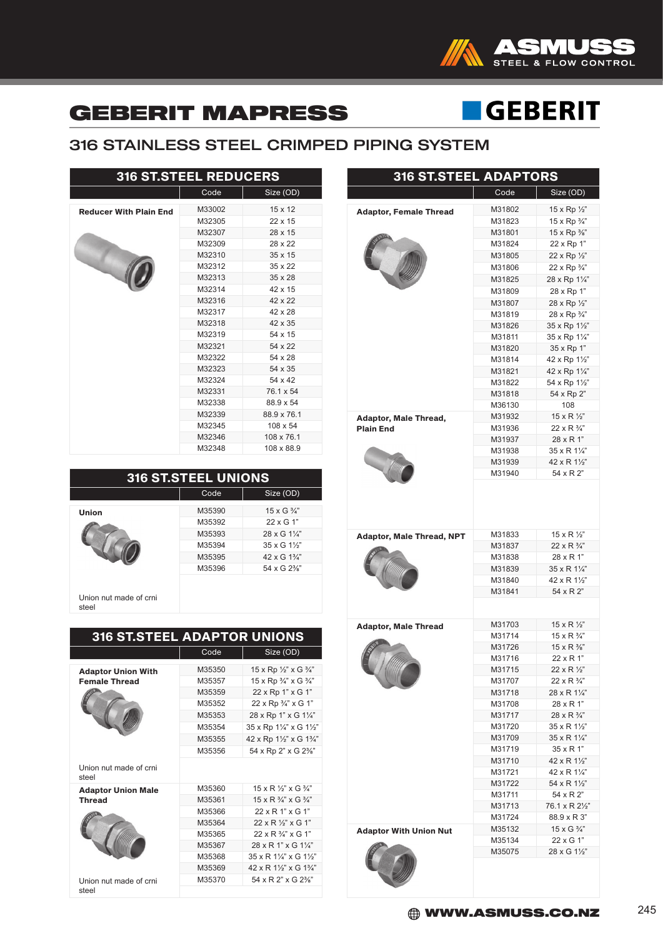

# **GEBERIT**

#### 316 STAINLESS STEEL CRIMPED PIPING SYSTEM

| <b>316 ST.STEEL REDUCERS</b>  |        |                |  |  |
|-------------------------------|--------|----------------|--|--|
|                               | Code   | Size (OD)      |  |  |
| <b>Reducer With Plain End</b> | M33002 | $15 \times 12$ |  |  |
|                               | M32305 | 22 x 15        |  |  |
|                               | M32307 | 28 x 15        |  |  |
|                               | M32309 | 28 x 22        |  |  |
|                               | M32310 | $35 \times 15$ |  |  |
|                               | M32312 | $35 \times 22$ |  |  |
|                               | M32313 | $35 \times 28$ |  |  |
|                               | M32314 | 42 x 15        |  |  |
|                               | M32316 | 42 x 22        |  |  |
|                               | M32317 | 42 x 28        |  |  |
|                               | M32318 | 42 x 35        |  |  |
|                               | M32319 | 54 x 15        |  |  |
|                               | M32321 | 54 x 22        |  |  |
|                               | M32322 | 54 x 28        |  |  |
|                               | M32323 | 54 x 35        |  |  |
|                               | M32324 | 54 x 42        |  |  |
|                               | M32331 | 76.1 x 54      |  |  |
|                               | M32338 | 88.9 x 54      |  |  |
|                               | M32339 | 88.9 x 76.1    |  |  |
|                               | M32345 | 108 x 54       |  |  |
|                               | M32346 | 108 x 76.1     |  |  |
|                               | M32348 | 108 x 88.9     |  |  |

| <b>316 ST.STEEL UNIONS</b>      |        |                                        |  |
|---------------------------------|--------|----------------------------------------|--|
|                                 | Code   | Size (OD)                              |  |
| Union                           | M35390 | $15 \times G \frac{3}{4}$              |  |
|                                 | M35392 | 22 x G 1"                              |  |
|                                 | M35393 | $28 \times G$ 11/4"                    |  |
|                                 | M35394 | $35 \times G$ 11/ <sub>2</sub> "       |  |
|                                 | M35395 | 42 x G $1\frac{3}{4}$ "                |  |
|                                 | M35396 | 54 x G 2 <sup>3</sup> / <sub>8</sub> " |  |
| Union nut made of crni<br>steel |        |                                        |  |

| <b>316 ST.STEEL ADAPTOR UNIONS</b> |        |                                                        |  |  |
|------------------------------------|--------|--------------------------------------------------------|--|--|
|                                    | Code   | Size (OD)                                              |  |  |
| <b>Adaptor Union With</b>          | M35350 | 15 x Rp $\frac{1}{2}$ " x G $\frac{3}{4}$ "            |  |  |
| <b>Female Thread</b>               | M35357 | 15 x Rp $\frac{3}{4}$ " x G $\frac{3}{4}$ "            |  |  |
|                                    | M35359 | 22 x Rp 1" x G 1"                                      |  |  |
|                                    | M35352 | 22 x Rp 3/4" x G 1"                                    |  |  |
|                                    | M35353 | 28 x Rp 1" x G 11/4"                                   |  |  |
|                                    | M35354 | 35 x Rp 11/4" x G 11/2"                                |  |  |
|                                    | M35355 | 42 x Rp 11/2" x G 13/4"                                |  |  |
|                                    | M35356 | 54 x Rp 2" x G 2%"                                     |  |  |
| Union nut made of crni<br>steel    |        |                                                        |  |  |
| <b>Adaptor Union Male</b>          | M35360 | $15 \times R$ $\frac{1}{3}$ $\times$ G $\frac{3}{4}$ " |  |  |
| <b>Thread</b>                      | M35361 | $15 \times R \frac{3}{4}$ " $\times G \frac{3}{4}$ "   |  |  |
|                                    | M35366 | $22 \times R$ 1" $\times$ G 1"                         |  |  |
|                                    | M35364 | $22 \times R$ $\frac{1}{3}$ $\times$ G 1"              |  |  |
|                                    | M35365 | $22 \times R \frac{3}{4}$ " x G 1"                     |  |  |
|                                    | M35367 | 28 x R 1" x G 11/4"                                    |  |  |
|                                    | M35368 | 35 x R 1¼" x G 1½"                                     |  |  |
|                                    | M35369 | 42 x R 11/2" x G 13/4"                                 |  |  |
| Union nut made of crni             | M35370 | $54 \times R$ 2" $\times G$ 2%"                        |  |  |
| steel                              |        |                                                        |  |  |

| <b>316 ST.STEEL ADAPTORS</b>     |                  |                               |  |
|----------------------------------|------------------|-------------------------------|--|
|                                  | Code             | Size (OD)                     |  |
| <b>Adaptor, Female Thread</b>    | M31802           | 15 x Rp 1/2"                  |  |
|                                  | M31823           | 15 x Rp 3/4"                  |  |
|                                  | M31801           | 15 x Rp $\frac{3}{8}$ "       |  |
|                                  | M31824           | 22 x Rp 1"                    |  |
|                                  | M31805           | 22 x Rp 1/2"                  |  |
|                                  | M31806           | 22 x Rp 3/4"                  |  |
|                                  | M31825           | 28 x Rp 11/4"                 |  |
|                                  | M31809           | 28 x Rp 1"                    |  |
|                                  | M31807           | 28 x Rp 1/2"                  |  |
|                                  | M31819           | 28 x Rp 3/4"                  |  |
|                                  | M31826           | 35 x Rp 11/2"                 |  |
|                                  | M31811           | 35 x Rp 11/4"                 |  |
|                                  | M31820           | 35 x Rp 1"                    |  |
|                                  | M31814           | 42 x Rp 11/2"                 |  |
|                                  | M31821           | 42 x Rp 11/4"                 |  |
|                                  | M31822           | 54 x Rp 11/2"                 |  |
|                                  | M31818           | 54 x Rp 2"                    |  |
|                                  | M36130           | 108                           |  |
| <b>Adaptor, Male Thread,</b>     | M31932           | $15 \times R$ $\frac{1}{2}$ " |  |
| <b>Plain End</b>                 | M31936           | $22 \times R \frac{3}{4}$     |  |
|                                  | M31937           | 28 x R 1"                     |  |
|                                  | M31938           | 35 x R 11/4"                  |  |
|                                  | M31939           | 42 x R 11/2"                  |  |
|                                  | M31940           | 54 x R 2"                     |  |
| <b>Adaptor, Male Thread, NPT</b> | M31833           | $15 \times R \frac{1}{2}$     |  |
|                                  | M31837           | $22 \times R \frac{3}{4}$     |  |
|                                  | M31838           | 28 x R 1"                     |  |
|                                  | M31839           | 35 x R 11/4"                  |  |
|                                  | M31840           | 42 x R 11/2"                  |  |
|                                  | M31841           | 54 x R 2"                     |  |
|                                  |                  |                               |  |
| <b>Adaptor, Male Thread</b>      | M31703           | 15 x R ½"                     |  |
|                                  | M31714           | $15 \times R \frac{3}{4}$     |  |
|                                  | M31726           | $15 \times R$ %"              |  |
|                                  | M31716           | 22 x R 1"                     |  |
|                                  | M31715           | 22 x R ½"                     |  |
|                                  | M31707<br>M31718 | 22 x R 3/4"<br>28 x R 11/4"   |  |
|                                  | M31708           | 28 x R 1"                     |  |
|                                  | M31717           | $28 \times R \frac{3}{4}$     |  |
|                                  | M31720           | 35 x R 11/2"                  |  |
|                                  | M31709           | 35 x R 11/4"                  |  |
|                                  | M31719           | 35 x R 1"                     |  |
|                                  | M31710           | 42 x R 11/2"                  |  |
|                                  | M31721           | 42 x R 11/4"                  |  |
|                                  | M31722           | 54 x R 11/2"                  |  |
|                                  | M31711           | 54 x R 2"                     |  |
|                                  | M31713           | 76.1 x R 21/2"                |  |
|                                  | M31724           | 88.9 x R 3"                   |  |
| <b>Adaptor With Union Nut</b>    | M35132           | 15 x G $\frac{3}{4}$ "        |  |
|                                  | M35134           | 22 x G 1"                     |  |
|                                  | M35075           | 28 x G 11/2"                  |  |
|                                  |                  |                               |  |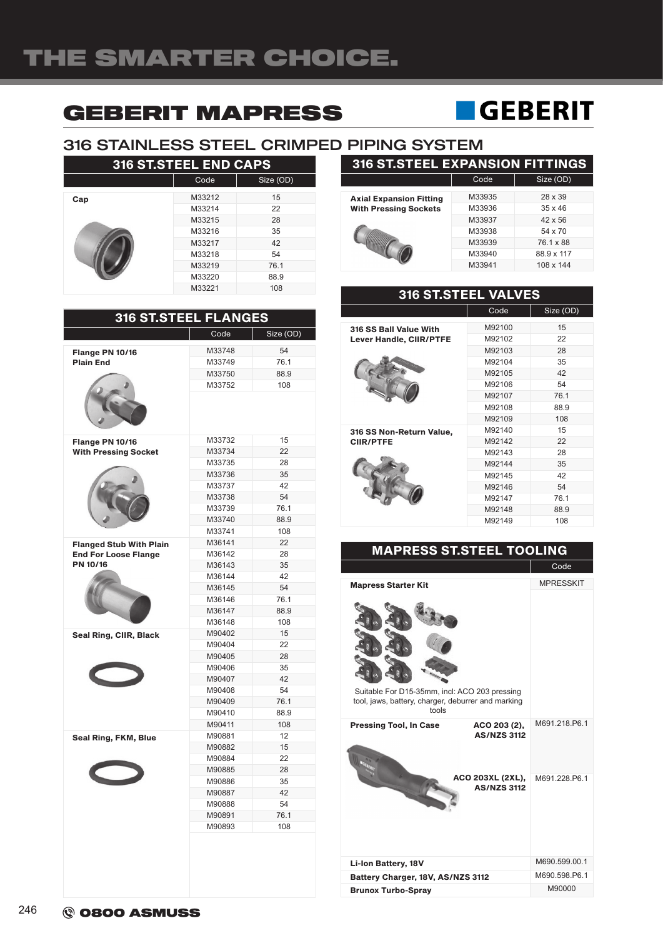# **GEBERIT**

#### 316 STAINLESS STEEL CRIMPED PIPING SYSTEM

316 ST.STEEL END CAPS

|     | Code   | Size (OD) |
|-----|--------|-----------|
| Cap | M33212 | 15        |
|     | M33214 | 22        |
|     | M33215 | 28        |
|     | M33216 | 35        |
|     | M33217 | 42        |
|     | M33218 | 54        |
|     | M33219 | 76.1      |
|     | M33220 | 88.9      |
|     | M33221 | 108       |

| <b>316 ST.STEEL FLANGES</b>    |                  |           |
|--------------------------------|------------------|-----------|
|                                | Code             | Size (OD) |
| Flange PN 10/16                | M33748           | 54        |
| <b>Plain End</b>               | M33749           | 76.1      |
|                                | M33750           | 88.9      |
|                                | M33752           | 108       |
|                                |                  |           |
| Flange PN 10/16                | M33732           | 15        |
| <b>With Pressing Socket</b>    | M33734           | 22        |
|                                | M33735           | 28        |
|                                | M33736           | 35        |
|                                | M33737           | 42        |
|                                | M33738           | 54        |
|                                | M33739           | 76.1      |
|                                | M33740           | 88.9      |
|                                | M33741           | 108       |
| <b>Flanged Stub With Plain</b> | M36141           | 22        |
| <b>End For Loose Flange</b>    | M36142           | 28        |
| PN 10/16                       | M36143           | 35        |
|                                | M36144           | 42        |
|                                | M36145           | 54        |
|                                | M36146           | 76.1      |
|                                | M36147           | 88.9      |
|                                | M36148<br>M90402 | 108<br>15 |
| Seal Ring, CIIR, Black         | M90404           | 22        |
|                                | M90405           | 28        |
|                                | M90406           | 35        |
|                                | M90407           | 42        |
|                                | M90408           | 54        |
|                                | M90409           | 76.1      |
|                                | M90410           | 88.9      |
|                                | M90411           | 108       |
| Seal Ring, FKM, Blue           | M90881           | 12        |
|                                | M90882           | 15        |
|                                | M90884           | 22        |
|                                | M90885           | 28        |
|                                | M90886           | 35        |
|                                | M90887           | 42        |
|                                | M90888           | 54        |
|                                | M90891           | 76.1      |
|                                | M90893           | 108       |
|                                |                  |           |

#### 316 ST.STEEL EXPANSION FITTINGS Code Size (OD) M33935 28 x 39 Axial Expansion Fitting M33936 35 x 46<br>M33937 42 x 56 With Pressing Sockets 42 x 56 Canco M33938 54 x 70 M33939 76.1 x 88<br>M33940 88.9 x 117 88.9 x 117 M33941 108 x 144

| <b>316 ST.STEEL VALVES</b>                               |        |           |  |
|----------------------------------------------------------|--------|-----------|--|
|                                                          | Code   | Size (OD) |  |
| 316 SS Ball Value With<br><b>Lever Handle, CIIR/PTFE</b> | M92100 | 15        |  |
|                                                          | M92102 | 22        |  |
|                                                          | M92103 | 28        |  |
|                                                          | M92104 | 35        |  |
|                                                          | M92105 | 42        |  |
|                                                          | M92106 | 54        |  |
|                                                          | M92107 | 76 1      |  |
|                                                          | M92108 | 88.9      |  |
|                                                          | M92109 | 108       |  |
| 316 SS Non-Return Value,<br><b>CIIR/PTFE</b>             | M92140 | 15        |  |
|                                                          | M92142 | 22        |  |
|                                                          | M92143 | 28        |  |
|                                                          | M92144 | 35        |  |
|                                                          | M92145 | 42        |  |
|                                                          | M92146 | 54        |  |
|                                                          | M92147 | 761       |  |
|                                                          | M92148 | 88.9      |  |
|                                                          | M92149 | 108       |  |

#### MAPRESS ST.STEEL TOOLING

Code

| <b>Mapress Starter Kit</b>                                                                                   | <b>MPRESSKIT</b> |
|--------------------------------------------------------------------------------------------------------------|------------------|
| Suitable For D15-35mm, incl: ACO 203 pressing<br>tool, jaws, battery, charger, deburrer and marking<br>tools |                  |
| <b>Pressing Tool, In Case</b><br>ACO 203 (2),<br><b>AS/NZS 3112</b>                                          | M691.218.P6.1    |
| ACO 203XL (2XL),<br><b>AS/NZS 3112</b>                                                                       | M691.228.P6.1    |
| <b>Li-Ion Battery, 18V</b>                                                                                   | M690.599.00.1    |
| Battery Charger, 18V, AS/NZS 3112                                                                            | M690.598.P6.1    |
| <b>Brunox Turbo-Spray</b>                                                                                    | M90000           |